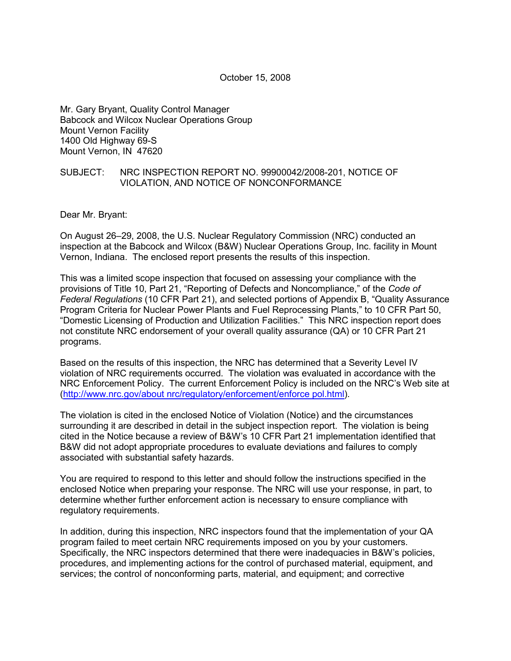Mr. Gary Bryant, Quality Control Manager Babcock and Wilcox Nuclear Operations Group Mount Vernon Facility 1400 Old Highway 69-S Mount Vernon, IN 47620

### SUBJECT: NRC INSPECTION REPORT NO. 99900042/2008-201, NOTICE OF VIOLATION, AND NOTICE OF NONCONFORMANCE

Dear Mr. Bryant:

On August 26–29, 2008, the U.S. Nuclear Regulatory Commission (NRC) conducted an inspection at the Babcock and Wilcox (B&W) Nuclear Operations Group, Inc. facility in Mount Vernon, Indiana. The enclosed report presents the results of this inspection.

This was a limited scope inspection that focused on assessing your compliance with the provisions of Title 10, Part 21, "Reporting of Defects and Noncompliance," of the *Code of Federal Regulations* (10 CFR Part 21), and selected portions of Appendix B, "Quality Assurance Program Criteria for Nuclear Power Plants and Fuel Reprocessing Plants," to 10 CFR Part 50, "Domestic Licensing of Production and Utilization Facilities." This NRC inspection report does not constitute NRC endorsement of your overall quality assurance (QA) or 10 CFR Part 21 programs.

Based on the results of this inspection, the NRC has determined that a Severity Level IV violation of NRC requirements occurred. The violation was evaluated in accordance with the NRC Enforcement Policy. The current Enforcement Policy is included on the NRC's Web site at (http://www.nrc.gov/about nrc/regulatory/enforcement/enforce pol.html).

The violation is cited in the enclosed Notice of Violation (Notice) and the circumstances surrounding it are described in detail in the subject inspection report. The violation is being cited in the Notice because a review of B&W's 10 CFR Part 21 implementation identified that B&W did not adopt appropriate procedures to evaluate deviations and failures to comply associated with substantial safety hazards.

You are required to respond to this letter and should follow the instructions specified in the enclosed Notice when preparing your response. The NRC will use your response, in part, to determine whether further enforcement action is necessary to ensure compliance with regulatory requirements.

In addition, during this inspection, NRC inspectors found that the implementation of your QA program failed to meet certain NRC requirements imposed on you by your customers. Specifically, the NRC inspectors determined that there were inadequacies in B&W's policies, procedures, and implementing actions for the control of purchased material, equipment, and services; the control of nonconforming parts, material, and equipment; and corrective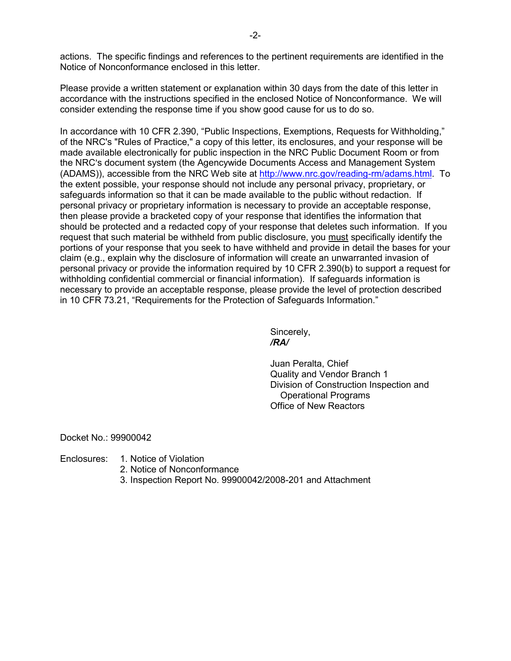actions. The specific findings and references to the pertinent requirements are identified in the Notice of Nonconformance enclosed in this letter.

Please provide a written statement or explanation within 30 days from the date of this letter in accordance with the instructions specified in the enclosed Notice of Nonconformance. We will consider extending the response time if you show good cause for us to do so.

In accordance with 10 CFR 2.390, "Public Inspections, Exemptions, Requests for Withholding," of the NRC's "Rules of Practice," a copy of this letter, its enclosures, and your response will be made available electronically for public inspection in the NRC Public Document Room or from the NRC's document system (the Agencywide Documents Access and Management System (ADAMS)), accessible from the NRC Web site at http://www.nrc.gov/reading-rm/adams.html. To the extent possible, your response should not include any personal privacy, proprietary, or safeguards information so that it can be made available to the public without redaction. If personal privacy or proprietary information is necessary to provide an acceptable response, then please provide a bracketed copy of your response that identifies the information that should be protected and a redacted copy of your response that deletes such information. If you request that such material be withheld from public disclosure, you must specifically identify the portions of your response that you seek to have withheld and provide in detail the bases for your claim (e.g., explain why the disclosure of information will create an unwarranted invasion of personal privacy or provide the information required by 10 CFR 2.390(b) to support a request for withholding confidential commercial or financial information). If safeguards information is necessary to provide an acceptable response, please provide the level of protection described in 10 CFR 73.21, "Requirements for the Protection of Safeguards Information."

 Sincerely, */RA/* 

> Juan Peralta, Chief Quality and Vendor Branch 1 Division of Construction Inspection and Operational Programs Office of New Reactors

Docket No.: 99900042

- Enclosures: 1. Notice of Violation
	- 2. Notice of Nonconformance
	- 3. Inspection Report No. 99900042/2008-201 and Attachment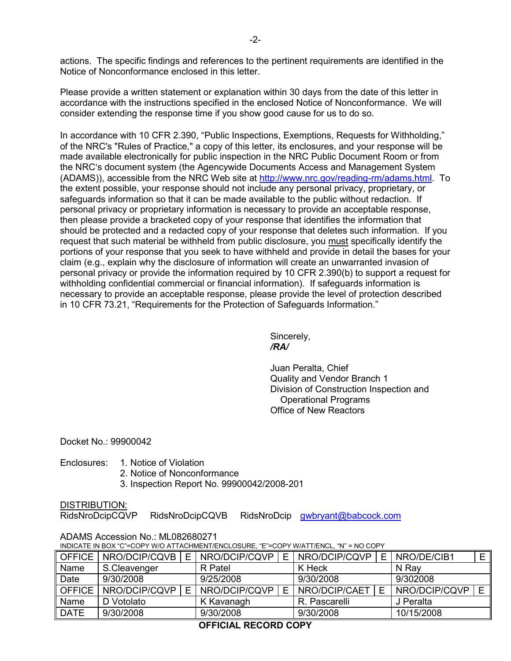actions. The specific findings and references to the pertinent requirements are identified in the Notice of Nonconformance enclosed in this letter.

Please provide a written statement or explanation within 30 days from the date of this letter in accordance with the instructions specified in the enclosed Notice of Nonconformance. We will consider extending the response time if you show good cause for us to do so.

In accordance with 10 CFR 2.390, "Public Inspections, Exemptions, Requests for Withholding," of the NRC's "Rules of Practice," a copy of this letter, its enclosures, and your response will be made available electronically for public inspection in the NRC Public Document Room or from the NRC's document system (the Agencywide Documents Access and Management System (ADAMS)), accessible from the NRC Web site at http://www.nrc.gov/reading-rm/adams.html. To the extent possible, your response should not include any personal privacy, proprietary, or safeguards information so that it can be made available to the public without redaction. If personal privacy or proprietary information is necessary to provide an acceptable response, then please provide a bracketed copy of your response that identifies the information that should be protected and a redacted copy of your response that deletes such information. If you request that such material be withheld from public disclosure, you must specifically identify the portions of your response that you seek to have withheld and provide in detail the bases for your claim (e.g., explain why the disclosure of information will create an unwarranted invasion of personal privacy or provide the information required by 10 CFR 2.390(b) to support a request for withholding confidential commercial or financial information). If safeguards information is necessary to provide an acceptable response, please provide the level of protection described in 10 CFR 73.21, "Requirements for the Protection of Safeguards Information."

 Sincerely, */RA/* 

> Juan Peralta, Chief Quality and Vendor Branch 1 Division of Construction Inspection and Operational Programs Office of New Reactors

Docket No.: 99900042

Enclosures: 1. Notice of Violation

- 2. Notice of Nonconformance
- 3. Inspection Report No. 99900042/2008-201

DISTRIBUTION:

RidsNroDcipCQVP RidsNroDcipCQVB RidsNroDcip gwbryant@babcock.com

| INDICATE IN BOX "C"=COPY W/O ATTACHMENT/ENCLOSURE, "E"=COPY W/ATT/ENCL, "N" = NO COPY |               |   |               |    |               |  |               |   |
|---------------------------------------------------------------------------------------|---------------|---|---------------|----|---------------|--|---------------|---|
| <b>OFFICE</b>                                                                         | NRO/DCIP/CQVB | E | NRO/DCIP/CQVP | E. | NRO/DCIP/CQVP |  | NRO/DE/CIB1   | E |
| Name                                                                                  | S.Cleavenger  |   | R Patel       |    | K Heck        |  | N Ray         |   |
| Date                                                                                  | 9/30/2008     |   | 9/25/2008     |    | 9/30/2008     |  | 9/302008      |   |
| <b>OFFICE</b>                                                                         | NRO/DCIP/CQVP |   | NRO/DCIP/CQVP |    | NRO/DCIP/CAET |  | NRO/DCIP/CQVP | E |
| Name                                                                                  | D Votolato    |   | K Kavanagh    |    | R. Pascarelli |  | J Peralta     |   |
| <b>DATE</b>                                                                           | 9/30/2008     |   | 9/30/2008     |    | 9/30/2008     |  | 10/15/2008    |   |
|                                                                                       |               |   |               |    |               |  |               |   |

## ADAMS Accession No.: ML082680271

INDICATE IN BOX "C"=COPY W/O ATTACHMENT/ENCLOSURE, "E"=COPY W/ATT/ENCL, "N" = NO COPY

**OFFICIAL RECORD COPY**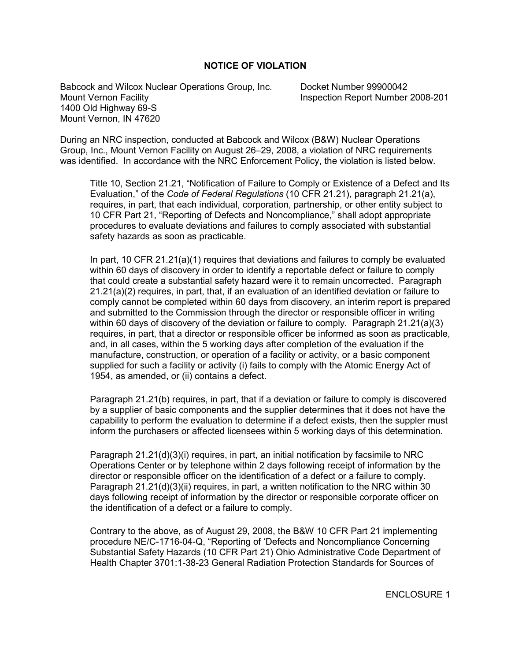### **NOTICE OF VIOLATION**

Babcock and Wilcox Nuclear Operations Group, Inc. Docket Number 99900042 Mount Vernon Facility Inspection Report Number 2008-201 1400 Old Highway 69-S Mount Vernon, IN 47620

During an NRC inspection, conducted at Babcock and Wilcox (B&W) Nuclear Operations Group, Inc., Mount Vernon Facility on August 26–29, 2008, a violation of NRC requirements was identified. In accordance with the NRC Enforcement Policy, the violation is listed below.

Title 10, Section 21.21, "Notification of Failure to Comply or Existence of a Defect and Its Evaluation," of the *Code of Federal Regulations* (10 CFR 21.21), paragraph 21.21(a), requires, in part, that each individual, corporation, partnership, or other entity subject to 10 CFR Part 21, "Reporting of Defects and Noncompliance," shall adopt appropriate procedures to evaluate deviations and failures to comply associated with substantial safety hazards as soon as practicable.

In part, 10 CFR 21.21(a)(1) requires that deviations and failures to comply be evaluated within 60 days of discovery in order to identify a reportable defect or failure to comply that could create a substantial safety hazard were it to remain uncorrected. Paragraph 21.21(a)(2) requires, in part, that, if an evaluation of an identified deviation or failure to comply cannot be completed within 60 days from discovery, an interim report is prepared and submitted to the Commission through the director or responsible officer in writing within 60 days of discovery of the deviation or failure to comply. Paragraph 21.21(a)(3) requires, in part, that a director or responsible officer be informed as soon as practicable, and, in all cases, within the 5 working days after completion of the evaluation if the manufacture, construction, or operation of a facility or activity, or a basic component supplied for such a facility or activity (i) fails to comply with the Atomic Energy Act of 1954, as amended, or (ii) contains a defect.

Paragraph 21.21(b) requires, in part, that if a deviation or failure to comply is discovered by a supplier of basic components and the supplier determines that it does not have the capability to perform the evaluation to determine if a defect exists, then the suppler must inform the purchasers or affected licensees within 5 working days of this determination.

Paragraph 21.21(d)(3)(i) requires, in part, an initial notification by facsimile to NRC Operations Center or by telephone within 2 days following receipt of information by the director or responsible officer on the identification of a defect or a failure to comply. Paragraph 21.21(d)(3)(ii) requires, in part, a written notification to the NRC within 30 days following receipt of information by the director or responsible corporate officer on the identification of a defect or a failure to comply.

Contrary to the above, as of August 29, 2008, the B&W 10 CFR Part 21 implementing procedure NE/C-1716-04-Q, "Reporting of 'Defects and Noncompliance Concerning Substantial Safety Hazards (10 CFR Part 21) Ohio Administrative Code Department of Health Chapter 3701:1-38-23 General Radiation Protection Standards for Sources of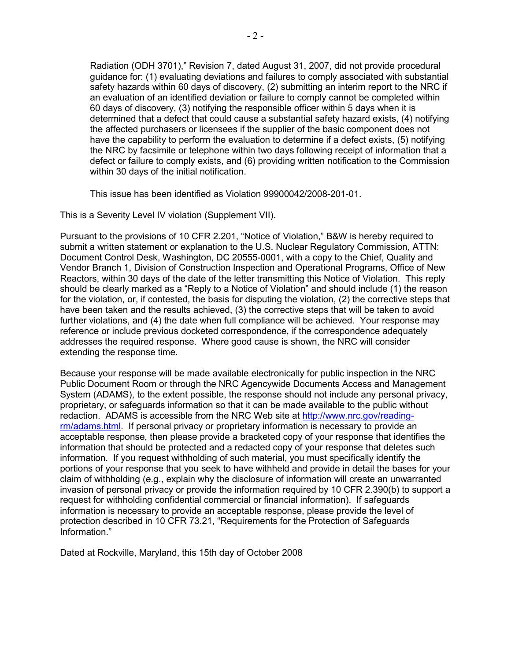Radiation (ODH 3701)," Revision 7, dated August 31, 2007, did not provide procedural guidance for: (1) evaluating deviations and failures to comply associated with substantial safety hazards within 60 days of discovery, (2) submitting an interim report to the NRC if an evaluation of an identified deviation or failure to comply cannot be completed within 60 days of discovery, (3) notifying the responsible officer within 5 days when it is determined that a defect that could cause a substantial safety hazard exists, (4) notifying the affected purchasers or licensees if the supplier of the basic component does not have the capability to perform the evaluation to determine if a defect exists, (5) notifying the NRC by facsimile or telephone within two days following receipt of information that a defect or failure to comply exists, and (6) providing written notification to the Commission within 30 days of the initial notification.

This issue has been identified as Violation 99900042/2008-201-01.

This is a Severity Level IV violation (Supplement VII).

Pursuant to the provisions of 10 CFR 2.201, "Notice of Violation," B&W is hereby required to submit a written statement or explanation to the U.S. Nuclear Regulatory Commission, ATTN: Document Control Desk, Washington, DC 20555-0001, with a copy to the Chief, Quality and Vendor Branch 1, Division of Construction Inspection and Operational Programs, Office of New Reactors, within 30 days of the date of the letter transmitting this Notice of Violation. This reply should be clearly marked as a "Reply to a Notice of Violation" and should include (1) the reason for the violation, or, if contested, the basis for disputing the violation, (2) the corrective steps that have been taken and the results achieved, (3) the corrective steps that will be taken to avoid further violations, and (4) the date when full compliance will be achieved. Your response may reference or include previous docketed correspondence, if the correspondence adequately addresses the required response. Where good cause is shown, the NRC will consider extending the response time.

Because your response will be made available electronically for public inspection in the NRC Public Document Room or through the NRC Agencywide Documents Access and Management System (ADAMS), to the extent possible, the response should not include any personal privacy, proprietary, or safeguards information so that it can be made available to the public without redaction. ADAMS is accessible from the NRC Web site at http://www.nrc.gov/readingrm/adams.html. If personal privacy or proprietary information is necessary to provide an acceptable response, then please provide a bracketed copy of your response that identifies the information that should be protected and a redacted copy of your response that deletes such information. If you request withholding of such material, you must specifically identify the portions of your response that you seek to have withheld and provide in detail the bases for your claim of withholding (e.g., explain why the disclosure of information will create an unwarranted invasion of personal privacy or provide the information required by 10 CFR 2.390(b) to support a request for withholding confidential commercial or financial information). If safeguards information is necessary to provide an acceptable response, please provide the level of protection described in 10 CFR 73.21, "Requirements for the Protection of Safeguards Information."

Dated at Rockville, Maryland, this 15th day of October 2008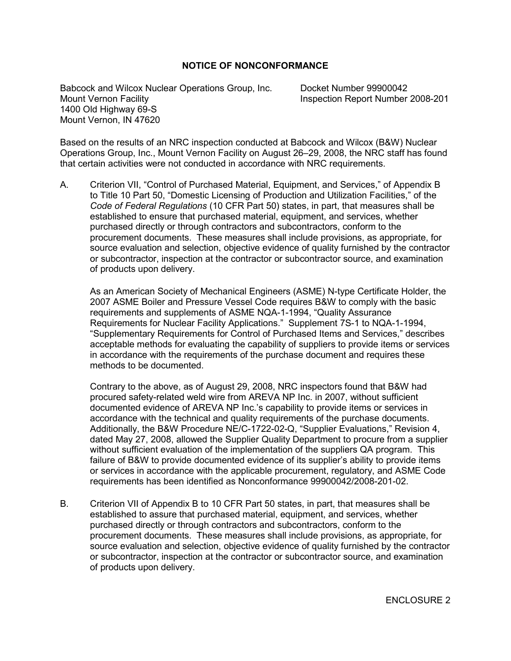### **NOTICE OF NONCONFORMANCE**

Babcock and Wilcox Nuclear Operations Group, Inc. Docket Number 99900042 Mount Vernon Facility Inspection Report Number 2008-201 1400 Old Highway 69-S Mount Vernon, IN 47620

Based on the results of an NRC inspection conducted at Babcock and Wilcox (B&W) Nuclear Operations Group, Inc., Mount Vernon Facility on August 26–29, 2008, the NRC staff has found that certain activities were not conducted in accordance with NRC requirements.

A. Criterion VII, "Control of Purchased Material, Equipment, and Services," of Appendix B to Title 10 Part 50, "Domestic Licensing of Production and Utilization Facilities," of the *Code of Federal Regulations* (10 CFR Part 50) states, in part, that measures shall be established to ensure that purchased material, equipment, and services, whether purchased directly or through contractors and subcontractors, conform to the procurement documents. These measures shall include provisions, as appropriate, for source evaluation and selection, objective evidence of quality furnished by the contractor or subcontractor, inspection at the contractor or subcontractor source, and examination of products upon delivery.

As an American Society of Mechanical Engineers (ASME) N-type Certificate Holder, the 2007 ASME Boiler and Pressure Vessel Code requires B&W to comply with the basic requirements and supplements of ASME NQA-1-1994, "Quality Assurance Requirements for Nuclear Facility Applications." Supplement 7S-1 to NQA-1-1994, "Supplementary Requirements for Control of Purchased Items and Services," describes acceptable methods for evaluating the capability of suppliers to provide items or services in accordance with the requirements of the purchase document and requires these methods to be documented.

Contrary to the above, as of August 29, 2008, NRC inspectors found that B&W had procured safety-related weld wire from AREVA NP Inc. in 2007, without sufficient documented evidence of AREVA NP Inc.'s capability to provide items or services in accordance with the technical and quality requirements of the purchase documents. Additionally, the B&W Procedure NE/C-1722-02-Q, "Supplier Evaluations," Revision 4, dated May 27, 2008, allowed the Supplier Quality Department to procure from a supplier without sufficient evaluation of the implementation of the suppliers QA program. This failure of B&W to provide documented evidence of its supplier's ability to provide items or services in accordance with the applicable procurement, regulatory, and ASME Code requirements has been identified as Nonconformance 99900042/2008-201-02.

B. Criterion VII of Appendix B to 10 CFR Part 50 states, in part, that measures shall be established to assure that purchased material, equipment, and services, whether purchased directly or through contractors and subcontractors, conform to the procurement documents. These measures shall include provisions, as appropriate, for source evaluation and selection, objective evidence of quality furnished by the contractor or subcontractor, inspection at the contractor or subcontractor source, and examination of products upon delivery.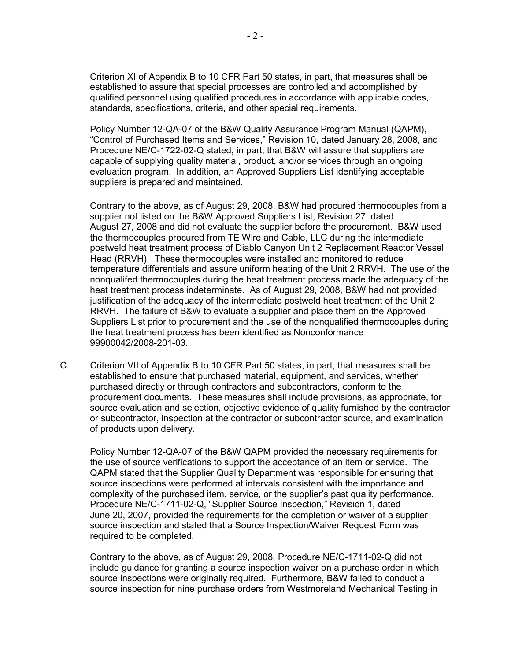Criterion XI of Appendix B to 10 CFR Part 50 states, in part, that measures shall be established to assure that special processes are controlled and accomplished by qualified personnel using qualified procedures in accordance with applicable codes, standards, specifications, criteria, and other special requirements.

Policy Number 12-QA-07 of the B&W Quality Assurance Program Manual (QAPM), "Control of Purchased Items and Services," Revision 10, dated January 28, 2008, and Procedure NE/C-1722-02-Q stated, in part, that B&W will assure that suppliers are capable of supplying quality material, product, and/or services through an ongoing evaluation program. In addition, an Approved Suppliers List identifying acceptable suppliers is prepared and maintained.

Contrary to the above, as of August 29, 2008, B&W had procured thermocouples from a supplier not listed on the B&W Approved Suppliers List, Revision 27, dated August 27, 2008 and did not evaluate the supplier before the procurement. B&W used the thermocouples procured from TE Wire and Cable, LLC during the intermediate postweld heat treatment process of Diablo Canyon Unit 2 Replacement Reactor Vessel Head (RRVH). These thermocouples were installed and monitored to reduce temperature differentials and assure uniform heating of the Unit 2 RRVH. The use of the nonqualifed thermocouples during the heat treatment process made the adequacy of the heat treatment process indeterminate. As of August 29, 2008, B&W had not provided justification of the adequacy of the intermediate postweld heat treatment of the Unit 2 RRVH. The failure of B&W to evaluate a supplier and place them on the Approved Suppliers List prior to procurement and the use of the nonqualified thermocouples during the heat treatment process has been identified as Nonconformance 99900042/2008-201-03.

C. Criterion VII of Appendix B to 10 CFR Part 50 states, in part, that measures shall be established to ensure that purchased material, equipment, and services, whether purchased directly or through contractors and subcontractors, conform to the procurement documents. These measures shall include provisions, as appropriate, for source evaluation and selection, objective evidence of quality furnished by the contractor or subcontractor, inspection at the contractor or subcontractor source, and examination of products upon delivery.

Policy Number 12-QA-07 of the B&W QAPM provided the necessary requirements for the use of source verifications to support the acceptance of an item or service. The QAPM stated that the Supplier Quality Department was responsible for ensuring that source inspections were performed at intervals consistent with the importance and complexity of the purchased item, service, or the supplier's past quality performance. Procedure NE/C-1711-02-Q, "Supplier Source Inspection," Revision 1, dated June 20, 2007, provided the requirements for the completion or waiver of a supplier source inspection and stated that a Source Inspection/Waiver Request Form was required to be completed.

Contrary to the above, as of August 29, 2008, Procedure NE/C-1711-02-Q did not include guidance for granting a source inspection waiver on a purchase order in which source inspections were originally required. Furthermore, B&W failed to conduct a source inspection for nine purchase orders from Westmoreland Mechanical Testing in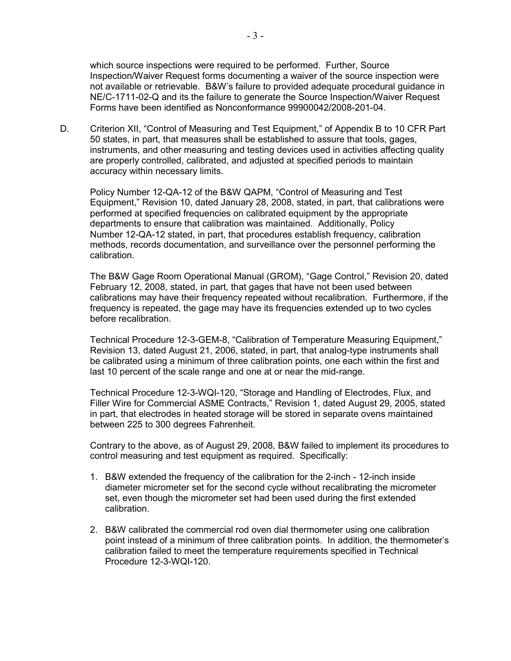which source inspections were required to be performed. Further, Source Inspection/Waiver Request forms documenting a waiver of the source inspection were not available or retrievable. B&W's failure to provided adequate procedural guidance in NE/C-1711-02-Q and its the failure to generate the Source Inspection/Waiver Request Forms have been identified as Nonconformance 99900042/2008-201-04.

D. Criterion XII, "Control of Measuring and Test Equipment," of Appendix B to 10 CFR Part 50 states, in part, that measures shall be established to assure that tools, gages, instruments, and other measuring and testing devices used in activities affecting quality are properly controlled, calibrated, and adjusted at specified periods to maintain accuracy within necessary limits.

Policy Number 12-QA-12 of the B&W QAPM, "Control of Measuring and Test Equipment," Revision 10, dated January 28, 2008, stated, in part, that calibrations were performed at specified frequencies on calibrated equipment by the appropriate departments to ensure that calibration was maintained. Additionally, Policy Number 12-QA-12 stated, in part, that procedures establish frequency, calibration methods, records documentation, and surveillance over the personnel performing the calibration.

The B&W Gage Room Operational Manual (GROM), "Gage Control," Revision 20, dated February 12, 2008, stated, in part, that gages that have not been used between calibrations may have their frequency repeated without recalibration. Furthermore, if the frequency is repeated, the gage may have its frequencies extended up to two cycles before recalibration.

Technical Procedure 12-3-GEM-8, "Calibration of Temperature Measuring Equipment," Revision 13, dated August 21, 2006, stated, in part, that analog-type instruments shall be calibrated using a minimum of three calibration points, one each within the first and last 10 percent of the scale range and one at or near the mid-range.

Technical Procedure 12-3-WQI-120, "Storage and Handling of Electrodes, Flux, and Filler Wire for Commercial ASME Contracts," Revision 1, dated August 29, 2005, stated in part, that electrodes in heated storage will be stored in separate ovens maintained between 225 to 300 degrees Fahrenheit.

Contrary to the above, as of August 29, 2008, B&W failed to implement its procedures to control measuring and test equipment as required. Specifically:

- 1. B&W extended the frequency of the calibration for the 2-inch 12-inch inside diameter micrometer set for the second cycle without recalibrating the micrometer set, even though the micrometer set had been used during the first extended calibration.
- 2. B&W calibrated the commercial rod oven dial thermometer using one calibration point instead of a minimum of three calibration points. In addition, the thermometer's calibration failed to meet the temperature requirements specified in Technical Procedure 12-3-WQI-120.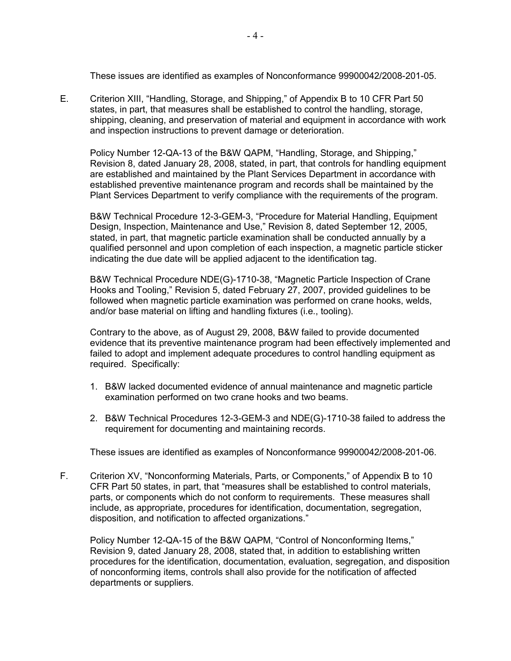These issues are identified as examples of Nonconformance 99900042/2008-201-05.

E. Criterion XIII, "Handling, Storage, and Shipping," of Appendix B to 10 CFR Part 50 states, in part, that measures shall be established to control the handling, storage, shipping, cleaning, and preservation of material and equipment in accordance with work and inspection instructions to prevent damage or deterioration.

Policy Number 12-QA-13 of the B&W QAPM, "Handling, Storage, and Shipping," Revision 8, dated January 28, 2008, stated, in part, that controls for handling equipment are established and maintained by the Plant Services Department in accordance with established preventive maintenance program and records shall be maintained by the Plant Services Department to verify compliance with the requirements of the program.

B&W Technical Procedure 12-3-GEM-3, "Procedure for Material Handling, Equipment Design, Inspection, Maintenance and Use," Revision 8, dated September 12, 2005, stated, in part, that magnetic particle examination shall be conducted annually by a qualified personnel and upon completion of each inspection, a magnetic particle sticker indicating the due date will be applied adjacent to the identification tag.

B&W Technical Procedure NDE(G)-1710-38, "Magnetic Particle Inspection of Crane Hooks and Tooling," Revision 5, dated February 27, 2007, provided guidelines to be followed when magnetic particle examination was performed on crane hooks, welds, and/or base material on lifting and handling fixtures (i.e., tooling).

Contrary to the above, as of August 29, 2008, B&W failed to provide documented evidence that its preventive maintenance program had been effectively implemented and failed to adopt and implement adequate procedures to control handling equipment as required. Specifically:

- 1. B&W lacked documented evidence of annual maintenance and magnetic particle examination performed on two crane hooks and two beams.
- 2. B&W Technical Procedures 12-3-GEM-3 and NDE(G)-1710-38 failed to address the requirement for documenting and maintaining records.

These issues are identified as examples of Nonconformance 99900042/2008-201-06.

F. Criterion XV, "Nonconforming Materials, Parts, or Components," of Appendix B to 10 CFR Part 50 states, in part, that "measures shall be established to control materials, parts, or components which do not conform to requirements. These measures shall include, as appropriate, procedures for identification, documentation, segregation, disposition, and notification to affected organizations."

Policy Number 12-QA-15 of the B&W QAPM, "Control of Nonconforming Items," Revision 9, dated January 28, 2008, stated that, in addition to establishing written procedures for the identification, documentation, evaluation, segregation, and disposition of nonconforming items, controls shall also provide for the notification of affected departments or suppliers.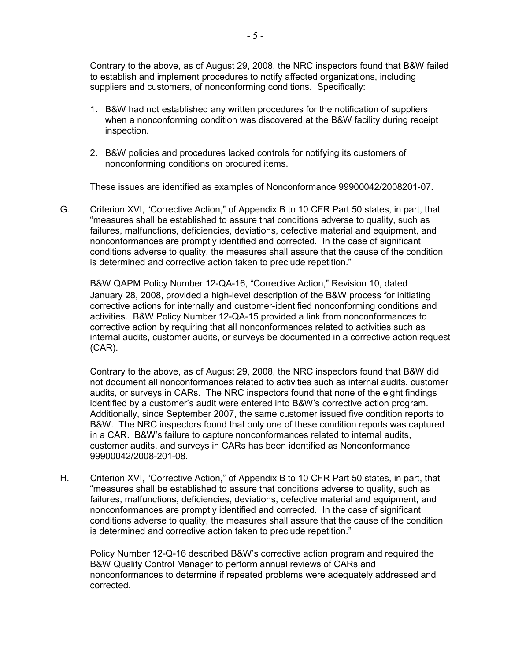Contrary to the above, as of August 29, 2008, the NRC inspectors found that B&W failed to establish and implement procedures to notify affected organizations, including suppliers and customers, of nonconforming conditions. Specifically:

- 1. B&W had not established any written procedures for the notification of suppliers when a nonconforming condition was discovered at the B&W facility during receipt inspection.
- 2. B&W policies and procedures lacked controls for notifying its customers of nonconforming conditions on procured items.

These issues are identified as examples of Nonconformance 99900042/2008201-07.

G. Criterion XVI, "Corrective Action," of Appendix B to 10 CFR Part 50 states, in part, that "measures shall be established to assure that conditions adverse to quality, such as failures, malfunctions, deficiencies, deviations, defective material and equipment, and nonconformances are promptly identified and corrected. In the case of significant conditions adverse to quality, the measures shall assure that the cause of the condition is determined and corrective action taken to preclude repetition."

 B&W QAPM Policy Number 12-QA-16, "Corrective Action," Revision 10, dated January 28, 2008, provided a high-level description of the B&W process for initiating corrective actions for internally and customer-identified nonconforming conditions and activities. B&W Policy Number 12-QA-15 provided a link from nonconformances to corrective action by requiring that all nonconformances related to activities such as internal audits, customer audits, or surveys be documented in a corrective action request (CAR).

Contrary to the above, as of August 29, 2008, the NRC inspectors found that B&W did not document all nonconformances related to activities such as internal audits, customer audits, or surveys in CARs. The NRC inspectors found that none of the eight findings identified by a customer's audit were entered into B&W's corrective action program. Additionally, since September 2007, the same customer issued five condition reports to B&W. The NRC inspectors found that only one of these condition reports was captured in a CAR. B&W's failure to capture nonconformances related to internal audits, customer audits, and surveys in CARs has been identified as Nonconformance 99900042/2008-201-08.

H. Criterion XVI, "Corrective Action," of Appendix B to 10 CFR Part 50 states, in part, that "measures shall be established to assure that conditions adverse to quality, such as failures, malfunctions, deficiencies, deviations, defective material and equipment, and nonconformances are promptly identified and corrected. In the case of significant conditions adverse to quality, the measures shall assure that the cause of the condition is determined and corrective action taken to preclude repetition."

Policy Number 12-Q-16 described B&W's corrective action program and required the B&W Quality Control Manager to perform annual reviews of CARs and nonconformances to determine if repeated problems were adequately addressed and corrected.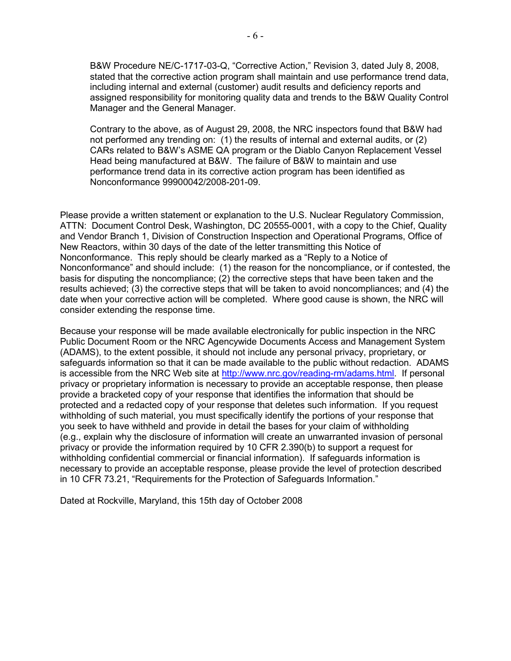B&W Procedure NE/C-1717-03-Q, "Corrective Action," Revision 3, dated July 8, 2008, stated that the corrective action program shall maintain and use performance trend data, including internal and external (customer) audit results and deficiency reports and assigned responsibility for monitoring quality data and trends to the B&W Quality Control Manager and the General Manager.

Contrary to the above, as of August 29, 2008, the NRC inspectors found that B&W had not performed any trending on: (1) the results of internal and external audits, or (2) CARs related to B&W's ASME QA program or the Diablo Canyon Replacement Vessel Head being manufactured at B&W. The failure of B&W to maintain and use performance trend data in its corrective action program has been identified as Nonconformance 99900042/2008-201-09.

Please provide a written statement or explanation to the U.S. Nuclear Regulatory Commission, ATTN: Document Control Desk, Washington, DC 20555-0001, with a copy to the Chief, Quality and Vendor Branch 1, Division of Construction Inspection and Operational Programs, Office of New Reactors, within 30 days of the date of the letter transmitting this Notice of Nonconformance. This reply should be clearly marked as a "Reply to a Notice of Nonconformance" and should include: (1) the reason for the noncompliance, or if contested, the basis for disputing the noncompliance; (2) the corrective steps that have been taken and the results achieved; (3) the corrective steps that will be taken to avoid noncompliances; and (4) the date when your corrective action will be completed. Where good cause is shown, the NRC will consider extending the response time.

Because your response will be made available electronically for public inspection in the NRC Public Document Room or the NRC Agencywide Documents Access and Management System (ADAMS), to the extent possible, it should not include any personal privacy, proprietary, or safeguards information so that it can be made available to the public without redaction. ADAMS is accessible from the NRC Web site at http://www.nrc.gov/reading-rm/adams.html. If personal privacy or proprietary information is necessary to provide an acceptable response, then please provide a bracketed copy of your response that identifies the information that should be protected and a redacted copy of your response that deletes such information. If you request withholding of such material, you must specifically identify the portions of your response that you seek to have withheld and provide in detail the bases for your claim of withholding (e.g., explain why the disclosure of information will create an unwarranted invasion of personal privacy or provide the information required by 10 CFR 2.390(b) to support a request for withholding confidential commercial or financial information). If safeguards information is necessary to provide an acceptable response, please provide the level of protection described in 10 CFR 73.21, "Requirements for the Protection of Safeguards Information."

Dated at Rockville, Maryland, this 15th day of October 2008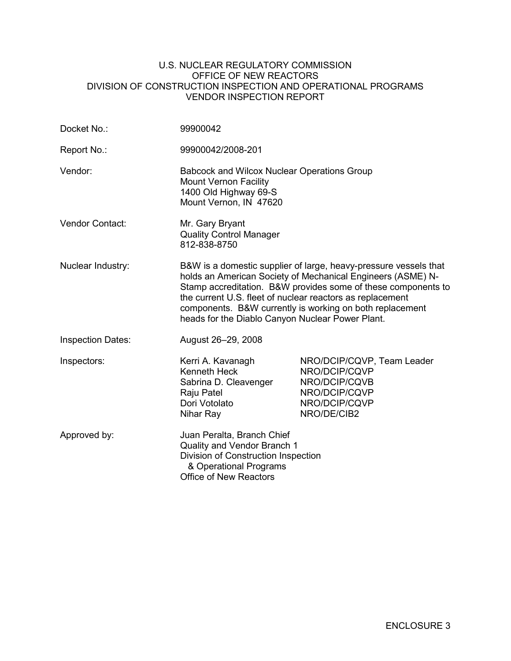### U.S. NUCLEAR REGULATORY COMMISSION OFFICE OF NEW REACTORS DIVISION OF CONSTRUCTION INSPECTION AND OPERATIONAL PROGRAMS VENDOR INSPECTION REPORT

| Docket No.:              | 99900042                                                                                                                                                                                                                                                                                                                                                                      |                                                                                                               |  |  |  |
|--------------------------|-------------------------------------------------------------------------------------------------------------------------------------------------------------------------------------------------------------------------------------------------------------------------------------------------------------------------------------------------------------------------------|---------------------------------------------------------------------------------------------------------------|--|--|--|
| Report No.:              | 99900042/2008-201                                                                                                                                                                                                                                                                                                                                                             |                                                                                                               |  |  |  |
| Vendor:                  | <b>Babcock and Wilcox Nuclear Operations Group</b><br><b>Mount Vernon Facility</b><br>1400 Old Highway 69-S<br>Mount Vernon, IN 47620                                                                                                                                                                                                                                         |                                                                                                               |  |  |  |
| Vendor Contact:          | Mr. Gary Bryant<br><b>Quality Control Manager</b><br>812-838-8750                                                                                                                                                                                                                                                                                                             |                                                                                                               |  |  |  |
| Nuclear Industry:        | B&W is a domestic supplier of large, heavy-pressure vessels that<br>holds an American Society of Mechanical Engineers (ASME) N-<br>Stamp accreditation. B&W provides some of these components to<br>the current U.S. fleet of nuclear reactors as replacement<br>components. B&W currently is working on both replacement<br>heads for the Diablo Canyon Nuclear Power Plant. |                                                                                                               |  |  |  |
| <b>Inspection Dates:</b> | August 26-29, 2008                                                                                                                                                                                                                                                                                                                                                            |                                                                                                               |  |  |  |
| Inspectors:              | Kerri A. Kavanagh<br><b>Kenneth Heck</b><br>Sabrina D. Cleavenger<br>Raju Patel<br>Dori Votolato<br>Nihar Ray                                                                                                                                                                                                                                                                 | NRO/DCIP/CQVP, Team Leader<br>NRO/DCIP/CQVP<br>NRO/DCIP/CQVB<br>NRO/DCIP/CQVP<br>NRO/DCIP/CQVP<br>NRO/DE/CIB2 |  |  |  |
| Approved by:             | Juan Peralta, Branch Chief<br>Quality and Vendor Branch 1<br>Division of Construction Inspection<br>& Operational Programs<br><b>Office of New Reactors</b>                                                                                                                                                                                                                   |                                                                                                               |  |  |  |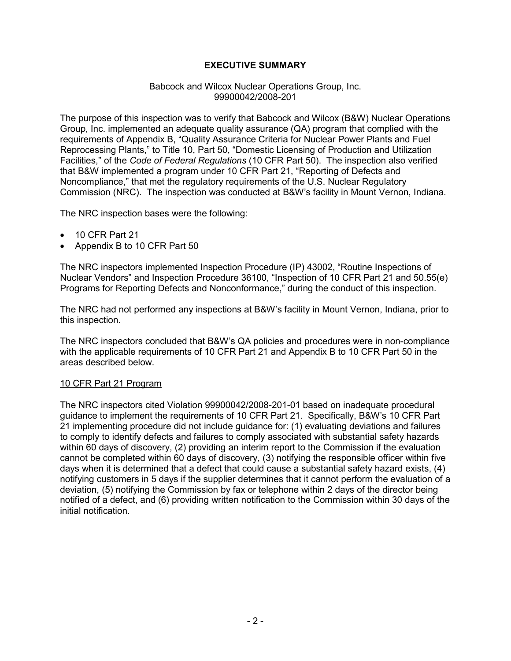# **EXECUTIVE SUMMARY**

### Babcock and Wilcox Nuclear Operations Group, Inc. 99900042/2008-201

The purpose of this inspection was to verify that Babcock and Wilcox (B&W) Nuclear Operations Group, Inc. implemented an adequate quality assurance (QA) program that complied with the requirements of Appendix B, "Quality Assurance Criteria for Nuclear Power Plants and Fuel Reprocessing Plants," to Title 10, Part 50, "Domestic Licensing of Production and Utilization Facilities," of the *Code of Federal Regulations* (10 CFR Part 50). The inspection also verified that B&W implemented a program under 10 CFR Part 21, "Reporting of Defects and Noncompliance," that met the regulatory requirements of the U.S. Nuclear Regulatory Commission (NRC). The inspection was conducted at B&W's facility in Mount Vernon, Indiana.

The NRC inspection bases were the following:

- 10 CFR Part 21
- Appendix B to 10 CFR Part 50

The NRC inspectors implemented Inspection Procedure (IP) 43002, "Routine Inspections of Nuclear Vendors" and Inspection Procedure 36100, "Inspection of 10 CFR Part 21 and 50.55(e) Programs for Reporting Defects and Nonconformance," during the conduct of this inspection.

The NRC had not performed any inspections at B&W's facility in Mount Vernon, Indiana, prior to this inspection.

The NRC inspectors concluded that B&W's QA policies and procedures were in non-compliance with the applicable requirements of 10 CFR Part 21 and Appendix B to 10 CFR Part 50 in the areas described below.

## 10 CFR Part 21 Program

The NRC inspectors cited Violation 99900042/2008-201-01 based on inadequate procedural guidance to implement the requirements of 10 CFR Part 21. Specifically, B&W's 10 CFR Part 21 implementing procedure did not include guidance for: (1) evaluating deviations and failures to comply to identify defects and failures to comply associated with substantial safety hazards within 60 days of discovery, (2) providing an interim report to the Commission if the evaluation cannot be completed within 60 days of discovery, (3) notifying the responsible officer within five days when it is determined that a defect that could cause a substantial safety hazard exists, (4) notifying customers in 5 days if the supplier determines that it cannot perform the evaluation of a deviation, (5) notifying the Commission by fax or telephone within 2 days of the director being notified of a defect, and (6) providing written notification to the Commission within 30 days of the initial notification.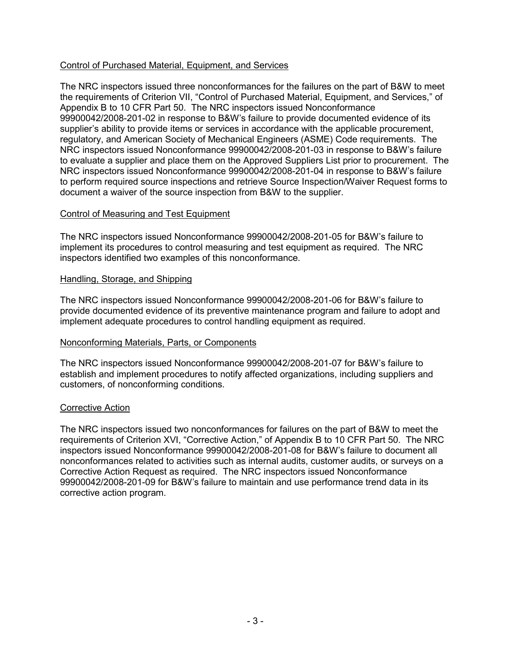# Control of Purchased Material, Equipment, and Services

The NRC inspectors issued three nonconformances for the failures on the part of B&W to meet the requirements of Criterion VII, "Control of Purchased Material, Equipment, and Services," of Appendix B to 10 CFR Part 50. The NRC inspectors issued Nonconformance 99900042/2008-201-02 in response to B&W's failure to provide documented evidence of its supplier's ability to provide items or services in accordance with the applicable procurement, regulatory, and American Society of Mechanical Engineers (ASME) Code requirements. The NRC inspectors issued Nonconformance 99900042/2008-201-03 in response to B&W's failure to evaluate a supplier and place them on the Approved Suppliers List prior to procurement. The NRC inspectors issued Nonconformance 99900042/2008-201-04 in response to B&W's failure to perform required source inspections and retrieve Source Inspection/Waiver Request forms to document a waiver of the source inspection from B&W to the supplier.

### Control of Measuring and Test Equipment

The NRC inspectors issued Nonconformance 99900042/2008-201-05 for B&W's failure to implement its procedures to control measuring and test equipment as required. The NRC inspectors identified two examples of this nonconformance.

### Handling, Storage, and Shipping

The NRC inspectors issued Nonconformance 99900042/2008-201-06 for B&W's failure to provide documented evidence of its preventive maintenance program and failure to adopt and implement adequate procedures to control handling equipment as required.

## Nonconforming Materials, Parts, or Components

The NRC inspectors issued Nonconformance 99900042/2008-201-07 for B&W's failure to establish and implement procedures to notify affected organizations, including suppliers and customers, of nonconforming conditions.

#### Corrective Action

The NRC inspectors issued two nonconformances for failures on the part of B&W to meet the requirements of Criterion XVI, "Corrective Action," of Appendix B to 10 CFR Part 50. The NRC inspectors issued Nonconformance 99900042/2008-201-08 for B&W's failure to document all nonconformances related to activities such as internal audits, customer audits, or surveys on a Corrective Action Request as required. The NRC inspectors issued Nonconformance 99900042/2008-201-09 for B&W's failure to maintain and use performance trend data in its corrective action program.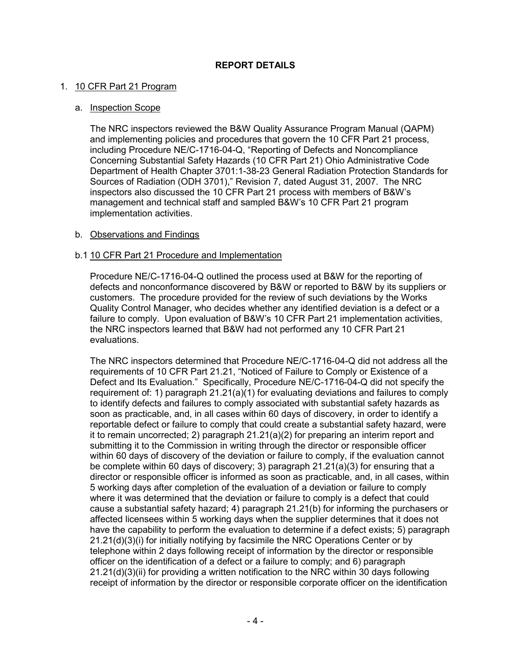# 1. 10 CFR Part 21 Program

## a. Inspection Scope

 The NRC inspectors reviewed the B&W Quality Assurance Program Manual (QAPM) and implementing policies and procedures that govern the 10 CFR Part 21 process, including Procedure NE/C-1716-04-Q, "Reporting of Defects and Noncompliance Concerning Substantial Safety Hazards (10 CFR Part 21) Ohio Administrative Code Department of Health Chapter 3701:1-38-23 General Radiation Protection Standards for Sources of Radiation (ODH 3701)," Revision 7, dated August 31, 2007. The NRC inspectors also discussed the 10 CFR Part 21 process with members of B&W's management and technical staff and sampled B&W's 10 CFR Part 21 program implementation activities.

# b. Observations and Findings

# b.1 10 CFR Part 21 Procedure and Implementation

Procedure NE/C-1716-04-Q outlined the process used at B&W for the reporting of defects and nonconformance discovered by B&W or reported to B&W by its suppliers or customers. The procedure provided for the review of such deviations by the Works Quality Control Manager, who decides whether any identified deviation is a defect or a failure to comply. Upon evaluation of B&W's 10 CFR Part 21 implementation activities, the NRC inspectors learned that B&W had not performed any 10 CFR Part 21 evaluations.

The NRC inspectors determined that Procedure NE/C-1716-04-Q did not address all the requirements of 10 CFR Part 21.21, "Noticed of Failure to Comply or Existence of a Defect and Its Evaluation." Specifically, Procedure NE/C-1716-04-Q did not specify the requirement of: 1) paragraph 21.21(a)(1) for evaluating deviations and failures to comply to identify defects and failures to comply associated with substantial safety hazards as soon as practicable, and, in all cases within 60 days of discovery, in order to identify a reportable defect or failure to comply that could create a substantial safety hazard, were it to remain uncorrected; 2) paragraph  $21.21(a)(2)$  for preparing an interim report and submitting it to the Commission in writing through the director or responsible officer within 60 days of discovery of the deviation or failure to comply, if the evaluation cannot be complete within 60 days of discovery; 3) paragraph 21.21(a)(3) for ensuring that a director or responsible officer is informed as soon as practicable, and, in all cases, within 5 working days after completion of the evaluation of a deviation or failure to comply where it was determined that the deviation or failure to comply is a defect that could cause a substantial safety hazard; 4) paragraph 21.21(b) for informing the purchasers or affected licensees within 5 working days when the supplier determines that it does not have the capability to perform the evaluation to determine if a defect exists; 5) paragraph  $21.21(d)(3)(i)$  for initially notifying by facsimile the NRC Operations Center or by telephone within 2 days following receipt of information by the director or responsible officer on the identification of a defect or a failure to comply; and 6) paragraph 21.21(d)(3)(ii) for providing a written notification to the NRC within 30 days following receipt of information by the director or responsible corporate officer on the identification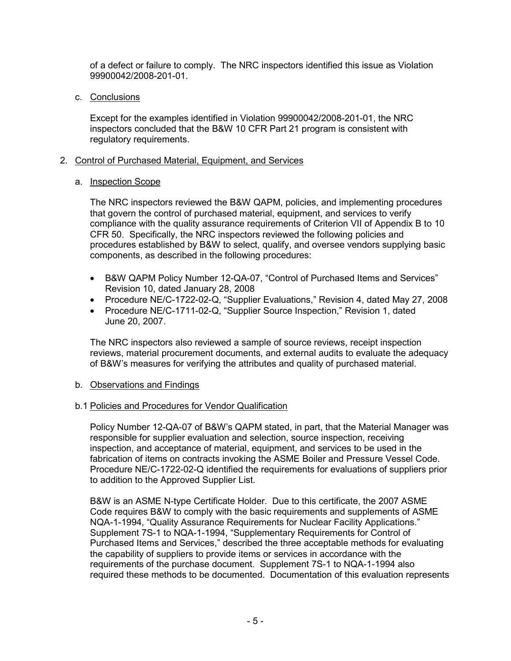of a defect or failure to comply. The NRC inspectors identified this issue as Violation 99900042/2008-201-01.

c. Conclusions

Except for the examples identified in Violation 99900042/2008-201-01, the NRC inspectors concluded that the B&W 10 CFR Part 21 program is consistent with regulatory requirements.

# 2. Control of Purchased Material, Equipment, and Services

# a. Inspection Scope

The NRC inspectors reviewed the B&W QAPM, policies, and implementing procedures that govern the control of purchased material, equipment, and services to verify compliance with the quality assurance requirements of Criterion VII of Appendix B to 10 CFR 50. Specifically, the NRC inspectors reviewed the following policies and procedures established by B&W to select, qualify, and oversee vendors supplying basic components, as described in the following procedures:

- B&W QAPM Policy Number 12-QA-07, "Control of Purchased Items and Services" Revision 10, dated January 28, 2008
- Procedure NE/C-1722-02-Q, "Supplier Evaluations," Revision 4, dated May 27, 2008
- Procedure NE/C-1711-02-Q, "Supplier Source Inspection," Revision 1, dated June 20, 2007.

The NRC inspectors also reviewed a sample of source reviews, receipt inspection reviews, material procurement documents, and external audits to evaluate the adequacy of B&W's measures for verifying the attributes and quality of purchased material.

# b. Observations and Findings

# b.1 Policies and Procedures for Vendor Qualification

Policy Number 12-QA-07 of B&W's QAPM stated, in part, that the Material Manager was responsible for supplier evaluation and selection, source inspection, receiving inspection, and acceptance of material, equipment, and services to be used in the fabrication of items on contracts invoking the ASME Boiler and Pressure Vessel Code. Procedure NE/C-1722-02-Q identified the requirements for evaluations of suppliers prior to addition to the Approved Supplier List.

B&W is an ASME N-type Certificate Holder. Due to this certificate, the 2007 ASME Code requires B&W to comply with the basic requirements and supplements of ASME NQA-1-1994, "Quality Assurance Requirements for Nuclear Facility Applications." Supplement 7S-1 to NQA-1-1994, "Supplementary Requirements for Control of Purchased Items and Services," described the three acceptable methods for evaluating the capability of suppliers to provide items or services in accordance with the requirements of the purchase document. Supplement 7S-1 to NQA-1-1994 also required these methods to be documented. Documentation of this evaluation represents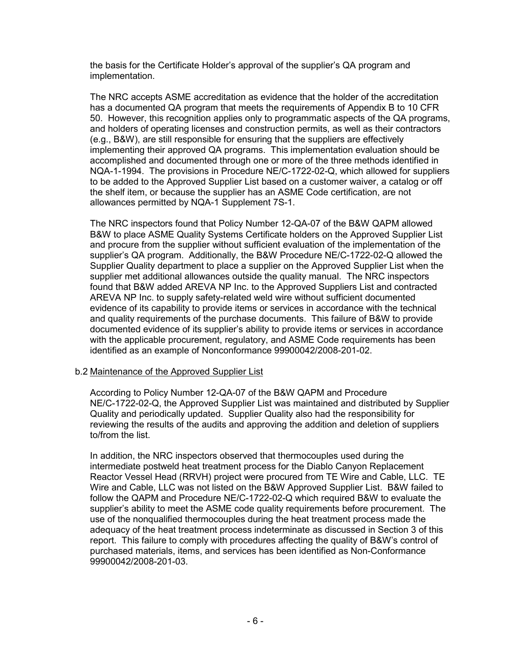the basis for the Certificate Holder's approval of the supplier's QA program and implementation.

The NRC accepts ASME accreditation as evidence that the holder of the accreditation has a documented QA program that meets the requirements of Appendix B to 10 CFR 50. However, this recognition applies only to programmatic aspects of the QA programs, and holders of operating licenses and construction permits, as well as their contractors (e.g., B&W), are still responsible for ensuring that the suppliers are effectively implementing their approved QA programs. This implementation evaluation should be accomplished and documented through one or more of the three methods identified in NQA-1-1994. The provisions in Procedure NE/C-1722-02-Q, which allowed for suppliers to be added to the Approved Supplier List based on a customer waiver, a catalog or off the shelf item, or because the supplier has an ASME Code certification, are not allowances permitted by NQA-1 Supplement 7S-1.

The NRC inspectors found that Policy Number 12-QA-07 of the B&W QAPM allowed B&W to place ASME Quality Systems Certificate holders on the Approved Supplier List and procure from the supplier without sufficient evaluation of the implementation of the supplier's QA program. Additionally, the B&W Procedure NE/C-1722-02-Q allowed the Supplier Quality department to place a supplier on the Approved Supplier List when the supplier met additional allowances outside the quality manual. The NRC inspectors found that B&W added AREVA NP Inc. to the Approved Suppliers List and contracted AREVA NP Inc. to supply safety-related weld wire without sufficient documented evidence of its capability to provide items or services in accordance with the technical and quality requirements of the purchase documents. This failure of B&W to provide documented evidence of its supplier's ability to provide items or services in accordance with the applicable procurement, regulatory, and ASME Code requirements has been identified as an example of Nonconformance 99900042/2008-201-02.

## b.2 Maintenance of the Approved Supplier List

According to Policy Number 12-QA-07 of the B&W QAPM and Procedure NE/C-1722-02-Q, the Approved Supplier List was maintained and distributed by Supplier Quality and periodically updated. Supplier Quality also had the responsibility for reviewing the results of the audits and approving the addition and deletion of suppliers to/from the list.

In addition, the NRC inspectors observed that thermocouples used during the intermediate postweld heat treatment process for the Diablo Canyon Replacement Reactor Vessel Head (RRVH) project were procured from TE Wire and Cable, LLC. TE Wire and Cable, LLC was not listed on the B&W Approved Supplier List. B&W failed to follow the QAPM and Procedure NE/C-1722-02-Q which required B&W to evaluate the supplier's ability to meet the ASME code quality requirements before procurement. The use of the nonqualified thermocouples during the heat treatment process made the adequacy of the heat treatment process indeterminate as discussed in Section 3 of this report. This failure to comply with procedures affecting the quality of B&W's control of purchased materials, items, and services has been identified as Non-Conformance 99900042/2008-201-03.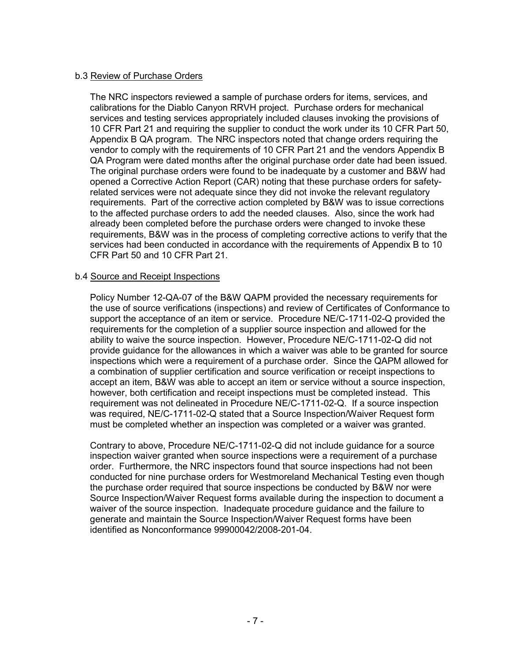## b.3 Review of Purchase Orders

The NRC inspectors reviewed a sample of purchase orders for items, services, and calibrations for the Diablo Canyon RRVH project. Purchase orders for mechanical services and testing services appropriately included clauses invoking the provisions of 10 CFR Part 21 and requiring the supplier to conduct the work under its 10 CFR Part 50, Appendix B QA program. The NRC inspectors noted that change orders requiring the vendor to comply with the requirements of 10 CFR Part 21 and the vendors Appendix B QA Program were dated months after the original purchase order date had been issued. The original purchase orders were found to be inadequate by a customer and B&W had opened a Corrective Action Report (CAR) noting that these purchase orders for safetyrelated services were not adequate since they did not invoke the relevant regulatory requirements. Part of the corrective action completed by B&W was to issue corrections to the affected purchase orders to add the needed clauses. Also, since the work had already been completed before the purchase orders were changed to invoke these requirements, B&W was in the process of completing corrective actions to verify that the services had been conducted in accordance with the requirements of Appendix B to 10 CFR Part 50 and 10 CFR Part 21.

### b.4 Source and Receipt Inspections

Policy Number 12-QA-07 of the B&W QAPM provided the necessary requirements for the use of source verifications (inspections) and review of Certificates of Conformance to support the acceptance of an item or service. Procedure NE/C-1711-02-Q provided the requirements for the completion of a supplier source inspection and allowed for the ability to waive the source inspection. However, Procedure NE/C-1711-02-Q did not provide guidance for the allowances in which a waiver was able to be granted for source inspections which were a requirement of a purchase order. Since the QAPM allowed for a combination of supplier certification and source verification or receipt inspections to accept an item, B&W was able to accept an item or service without a source inspection, however, both certification and receipt inspections must be completed instead. This requirement was not delineated in Procedure NE/C-1711-02-Q. If a source inspection was required, NE/C-1711-02-Q stated that a Source Inspection/Waiver Request form must be completed whether an inspection was completed or a waiver was granted.

Contrary to above, Procedure NE/C-1711-02-Q did not include guidance for a source inspection waiver granted when source inspections were a requirement of a purchase order. Furthermore, the NRC inspectors found that source inspections had not been conducted for nine purchase orders for Westmoreland Mechanical Testing even though the purchase order required that source inspections be conducted by B&W nor were Source Inspection/Waiver Request forms available during the inspection to document a waiver of the source inspection. Inadequate procedure guidance and the failure to generate and maintain the Source Inspection/Waiver Request forms have been identified as Nonconformance 99900042/2008-201-04.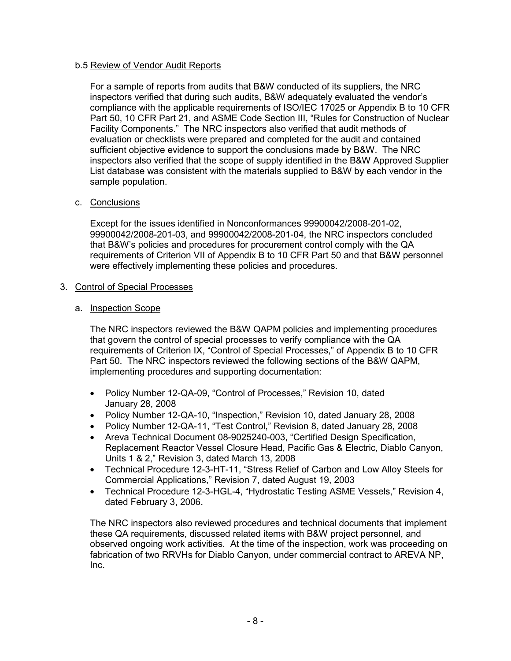## b.5 Review of Vendor Audit Reports

For a sample of reports from audits that B&W conducted of its suppliers, the NRC inspectors verified that during such audits, B&W adequately evaluated the vendor's compliance with the applicable requirements of ISO/IEC 17025 or Appendix B to 10 CFR Part 50, 10 CFR Part 21, and ASME Code Section III, "Rules for Construction of Nuclear Facility Components." The NRC inspectors also verified that audit methods of evaluation or checklists were prepared and completed for the audit and contained sufficient objective evidence to support the conclusions made by B&W. The NRC inspectors also verified that the scope of supply identified in the B&W Approved Supplier List database was consistent with the materials supplied to B&W by each vendor in the sample population.

## c. Conclusions

Except for the issues identified in Nonconformances 99900042/2008-201-02, 99900042/2008-201-03, and 99900042/2008-201-04, the NRC inspectors concluded that B&W's policies and procedures for procurement control comply with the QA requirements of Criterion VII of Appendix B to 10 CFR Part 50 and that B&W personnel were effectively implementing these policies and procedures.

## 3. Control of Special Processes

# a. Inspection Scope

The NRC inspectors reviewed the B&W QAPM policies and implementing procedures that govern the control of special processes to verify compliance with the QA requirements of Criterion IX, "Control of Special Processes," of Appendix B to 10 CFR Part 50. The NRC inspectors reviewed the following sections of the B&W QAPM, implementing procedures and supporting documentation:

- Policy Number 12-QA-09, "Control of Processes," Revision 10, dated January 28, 2008
- Policy Number 12-QA-10, "Inspection," Revision 10, dated January 28, 2008
- Policy Number 12-QA-11, "Test Control," Revision 8, dated January 28, 2008
- Areva Technical Document 08-9025240-003, "Certified Design Specification, Replacement Reactor Vessel Closure Head, Pacific Gas & Electric, Diablo Canyon, Units 1 & 2," Revision 3, dated March 13, 2008
- Technical Procedure 12-3-HT-11, "Stress Relief of Carbon and Low Alloy Steels for Commercial Applications," Revision 7, dated August 19, 2003
- Technical Procedure 12-3-HGL-4, "Hydrostatic Testing ASME Vessels," Revision 4, dated February 3, 2006.

The NRC inspectors also reviewed procedures and technical documents that implement these QA requirements, discussed related items with B&W project personnel, and observed ongoing work activities. At the time of the inspection, work was proceeding on fabrication of two RRVHs for Diablo Canyon, under commercial contract to AREVA NP, Inc.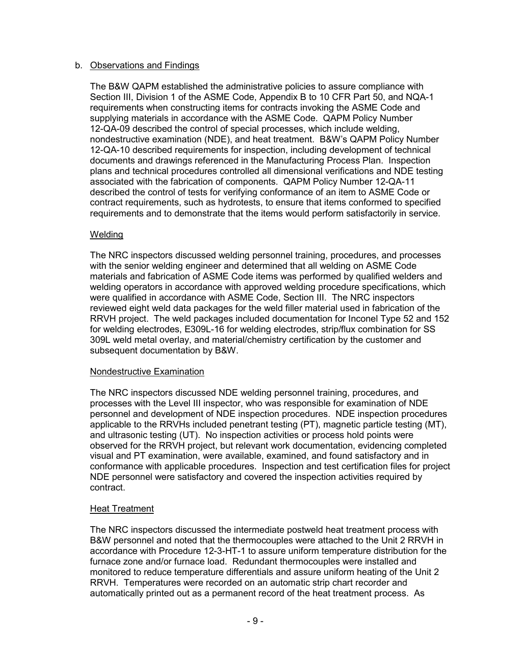## b. Observations and Findings

The B&W QAPM established the administrative policies to assure compliance with Section III, Division 1 of the ASME Code, Appendix B to 10 CFR Part 50, and NQA-1 requirements when constructing items for contracts invoking the ASME Code and supplying materials in accordance with the ASME Code. QAPM Policy Number 12-QA-09 described the control of special processes, which include welding, nondestructive examination (NDE), and heat treatment. B&W's QAPM Policy Number 12-QA-10 described requirements for inspection, including development of technical documents and drawings referenced in the Manufacturing Process Plan. Inspection plans and technical procedures controlled all dimensional verifications and NDE testing associated with the fabrication of components. QAPM Policy Number 12-QA-11 described the control of tests for verifying conformance of an item to ASME Code or contract requirements, such as hydrotests, to ensure that items conformed to specified requirements and to demonstrate that the items would perform satisfactorily in service.

# Welding

The NRC inspectors discussed welding personnel training, procedures, and processes with the senior welding engineer and determined that all welding on ASME Code materials and fabrication of ASME Code items was performed by qualified welders and welding operators in accordance with approved welding procedure specifications, which were qualified in accordance with ASME Code, Section III. The NRC inspectors reviewed eight weld data packages for the weld filler material used in fabrication of the RRVH project. The weld packages included documentation for Inconel Type 52 and 152 for welding electrodes, E309L-16 for welding electrodes, strip/flux combination for SS 309L weld metal overlay, and material/chemistry certification by the customer and subsequent documentation by B&W.

# Nondestructive Examination

The NRC inspectors discussed NDE welding personnel training, procedures, and processes with the Level III inspector, who was responsible for examination of NDE personnel and development of NDE inspection procedures. NDE inspection procedures applicable to the RRVHs included penetrant testing (PT), magnetic particle testing (MT), and ultrasonic testing (UT). No inspection activities or process hold points were observed for the RRVH project, but relevant work documentation, evidencing completed visual and PT examination, were available, examined, and found satisfactory and in conformance with applicable procedures. Inspection and test certification files for project NDE personnel were satisfactory and covered the inspection activities required by contract.

# Heat Treatment

The NRC inspectors discussed the intermediate postweld heat treatment process with B&W personnel and noted that the thermocouples were attached to the Unit 2 RRVH in accordance with Procedure 12-3-HT-1 to assure uniform temperature distribution for the furnace zone and/or furnace load. Redundant thermocouples were installed and monitored to reduce temperature differentials and assure uniform heating of the Unit 2 RRVH. Temperatures were recorded on an automatic strip chart recorder and automatically printed out as a permanent record of the heat treatment process. As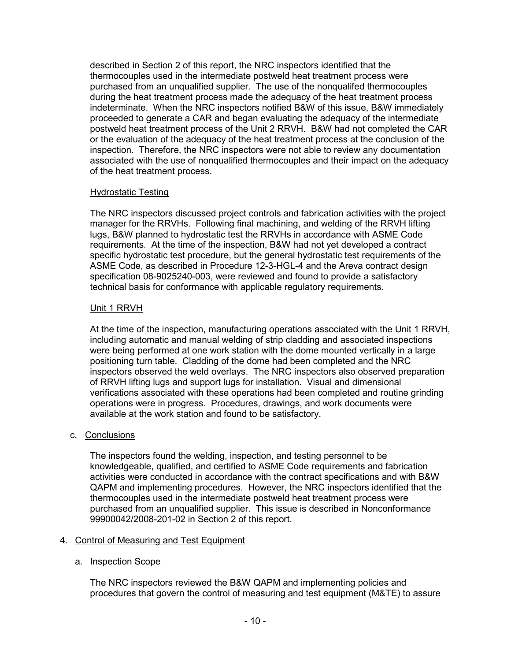described in Section 2 of this report, the NRC inspectors identified that the thermocouples used in the intermediate postweld heat treatment process were purchased from an unqualified supplier. The use of the nonqualifed thermocouples during the heat treatment process made the adequacy of the heat treatment process indeterminate. When the NRC inspectors notified B&W of this issue, B&W immediately proceeded to generate a CAR and began evaluating the adequacy of the intermediate postweld heat treatment process of the Unit 2 RRVH. B&W had not completed the CAR or the evaluation of the adequacy of the heat treatment process at the conclusion of the inspection. Therefore, the NRC inspectors were not able to review any documentation associated with the use of nonqualified thermocouples and their impact on the adequacy of the heat treatment process.

# Hydrostatic Testing

The NRC inspectors discussed project controls and fabrication activities with the project manager for the RRVHs. Following final machining, and welding of the RRVH lifting lugs, B&W planned to hydrostatic test the RRVHs in accordance with ASME Code requirements. At the time of the inspection, B&W had not yet developed a contract specific hydrostatic test procedure, but the general hydrostatic test requirements of the ASME Code, as described in Procedure 12-3-HGL-4 and the Areva contract design specification 08-9025240-003, were reviewed and found to provide a satisfactory technical basis for conformance with applicable regulatory requirements.

# Unit 1 RRVH

At the time of the inspection, manufacturing operations associated with the Unit 1 RRVH, including automatic and manual welding of strip cladding and associated inspections were being performed at one work station with the dome mounted vertically in a large positioning turn table. Cladding of the dome had been completed and the NRC inspectors observed the weld overlays. The NRC inspectors also observed preparation of RRVH lifting lugs and support lugs for installation. Visual and dimensional verifications associated with these operations had been completed and routine grinding operations were in progress. Procedures, drawings, and work documents were available at the work station and found to be satisfactory.

## c. Conclusions

The inspectors found the welding, inspection, and testing personnel to be knowledgeable, qualified, and certified to ASME Code requirements and fabrication activities were conducted in accordance with the contract specifications and with B&W QAPM and implementing procedures. However, the NRC inspectors identified that the thermocouples used in the intermediate postweld heat treatment process were purchased from an unqualified supplier. This issue is described in Nonconformance 99900042/2008-201-02 in Section 2 of this report.

## 4. Control of Measuring and Test Equipment

## a. Inspection Scope

The NRC inspectors reviewed the B&W QAPM and implementing policies and procedures that govern the control of measuring and test equipment (M&TE) to assure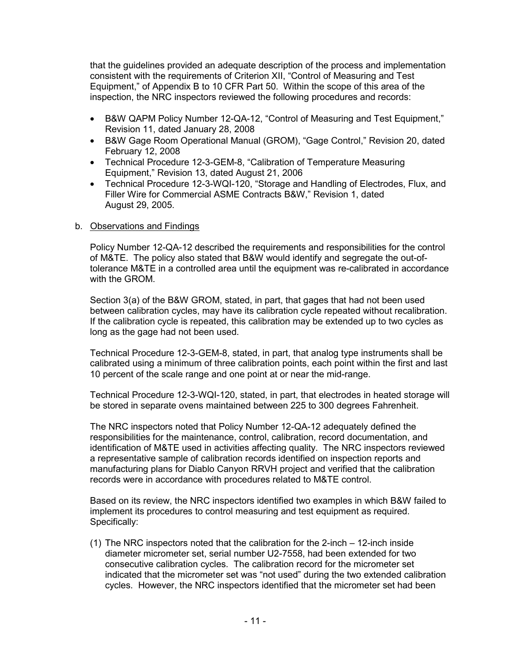that the guidelines provided an adequate description of the process and implementation consistent with the requirements of Criterion XII, "Control of Measuring and Test Equipment," of Appendix B to 10 CFR Part 50. Within the scope of this area of the inspection, the NRC inspectors reviewed the following procedures and records:

- B&W QAPM Policy Number 12-QA-12, "Control of Measuring and Test Equipment," Revision 11, dated January 28, 2008
- B&W Gage Room Operational Manual (GROM), "Gage Control," Revision 20, dated February 12, 2008
- Technical Procedure 12-3-GEM-8, "Calibration of Temperature Measuring Equipment," Revision 13, dated August 21, 2006
- Technical Procedure 12-3-WQI-120, "Storage and Handling of Electrodes, Flux, and Filler Wire for Commercial ASME Contracts B&W," Revision 1, dated August 29, 2005.

# b. Observations and Findings

Policy Number 12-QA-12 described the requirements and responsibilities for the control of M&TE. The policy also stated that B&W would identify and segregate the out-oftolerance M&TE in a controlled area until the equipment was re-calibrated in accordance with the GROM.

Section 3(a) of the B&W GROM, stated, in part, that gages that had not been used between calibration cycles, may have its calibration cycle repeated without recalibration. If the calibration cycle is repeated, this calibration may be extended up to two cycles as long as the gage had not been used.

Technical Procedure 12-3-GEM-8, stated, in part, that analog type instruments shall be calibrated using a minimum of three calibration points, each point within the first and last 10 percent of the scale range and one point at or near the mid-range.

Technical Procedure 12-3-WQI-120, stated, in part, that electrodes in heated storage will be stored in separate ovens maintained between 225 to 300 degrees Fahrenheit.

The NRC inspectors noted that Policy Number 12-QA-12 adequately defined the responsibilities for the maintenance, control, calibration, record documentation, and identification of M&TE used in activities affecting quality. The NRC inspectors reviewed a representative sample of calibration records identified on inspection reports and manufacturing plans for Diablo Canyon RRVH project and verified that the calibration records were in accordance with procedures related to M&TE control.

Based on its review, the NRC inspectors identified two examples in which B&W failed to implement its procedures to control measuring and test equipment as required. Specifically:

(1) The NRC inspectors noted that the calibration for the 2-inch – 12-inch inside diameter micrometer set, serial number U2-7558, had been extended for two consecutive calibration cycles. The calibration record for the micrometer set indicated that the micrometer set was "not used" during the two extended calibration cycles. However, the NRC inspectors identified that the micrometer set had been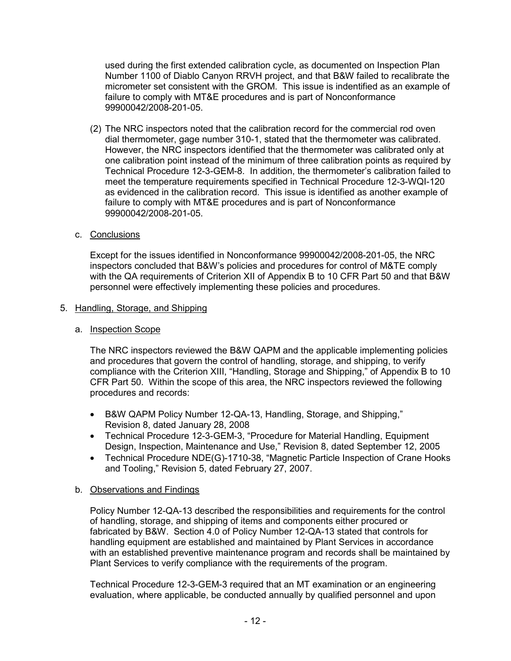used during the first extended calibration cycle, as documented on Inspection Plan Number 1100 of Diablo Canyon RRVH project, and that B&W failed to recalibrate the micrometer set consistent with the GROM. This issue is indentified as an example of failure to comply with MT&E procedures and is part of Nonconformance 99900042/2008-201-05.

- (2) The NRC inspectors noted that the calibration record for the commercial rod oven dial thermometer, gage number 310-1, stated that the thermometer was calibrated. However, the NRC inspectors identified that the thermometer was calibrated only at one calibration point instead of the minimum of three calibration points as required by Technical Procedure 12-3-GEM-8. In addition, the thermometer's calibration failed to meet the temperature requirements specified in Technical Procedure 12-3-WQI-120 as evidenced in the calibration record. This issue is identified as another example of failure to comply with MT&E procedures and is part of Nonconformance 99900042/2008-201-05.
- c. Conclusions

Except for the issues identified in Nonconformance 99900042/2008-201-05, the NRC inspectors concluded that B&W's policies and procedures for control of M&TE comply with the QA requirements of Criterion XII of Appendix B to 10 CFR Part 50 and that B&W personnel were effectively implementing these policies and procedures.

# 5. Handling, Storage, and Shipping

a. Inspection Scope

The NRC inspectors reviewed the B&W QAPM and the applicable implementing policies and procedures that govern the control of handling, storage, and shipping, to verify compliance with the Criterion XIII, "Handling, Storage and Shipping," of Appendix B to 10 CFR Part 50. Within the scope of this area, the NRC inspectors reviewed the following procedures and records:

- B&W QAPM Policy Number 12-QA-13, Handling, Storage, and Shipping," Revision 8, dated January 28, 2008
- Technical Procedure 12-3-GEM-3, "Procedure for Material Handling, Equipment Design, Inspection, Maintenance and Use," Revision 8, dated September 12, 2005
- Technical Procedure NDE(G)-1710-38, "Magnetic Particle Inspection of Crane Hooks and Tooling," Revision 5, dated February 27, 2007.

# b. Observations and Findings

Policy Number 12-QA-13 described the responsibilities and requirements for the control of handling, storage, and shipping of items and components either procured or fabricated by B&W. Section 4.0 of Policy Number 12-QA-13 stated that controls for handling equipment are established and maintained by Plant Services in accordance with an established preventive maintenance program and records shall be maintained by Plant Services to verify compliance with the requirements of the program.

Technical Procedure 12-3-GEM-3 required that an MT examination or an engineering evaluation, where applicable, be conducted annually by qualified personnel and upon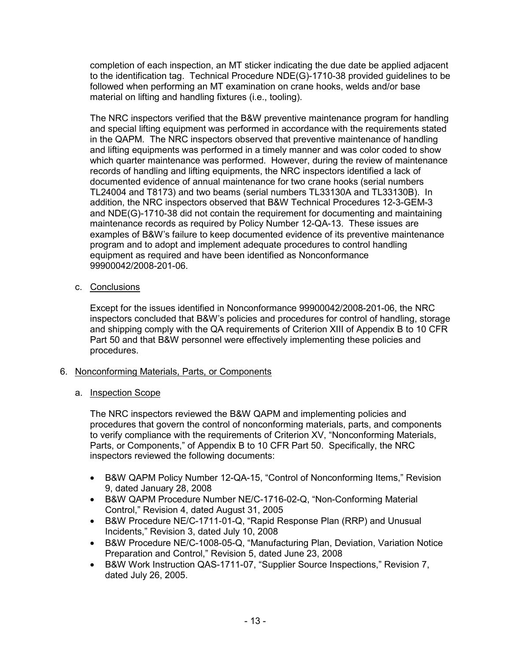completion of each inspection, an MT sticker indicating the due date be applied adjacent to the identification tag. Technical Procedure NDE(G)-1710-38 provided guidelines to be followed when performing an MT examination on crane hooks, welds and/or base material on lifting and handling fixtures (i.e., tooling).

The NRC inspectors verified that the B&W preventive maintenance program for handling and special lifting equipment was performed in accordance with the requirements stated in the QAPM. The NRC inspectors observed that preventive maintenance of handling and lifting equipments was performed in a timely manner and was color coded to show which quarter maintenance was performed. However, during the review of maintenance records of handling and lifting equipments, the NRC inspectors identified a lack of documented evidence of annual maintenance for two crane hooks (serial numbers TL24004 and T8173) and two beams (serial numbers TL33130A and TL33130B). In addition, the NRC inspectors observed that B&W Technical Procedures 12-3-GEM-3 and NDE(G)-1710-38 did not contain the requirement for documenting and maintaining maintenance records as required by Policy Number 12-QA-13. These issues are examples of B&W's failure to keep documented evidence of its preventive maintenance program and to adopt and implement adequate procedures to control handling equipment as required and have been identified as Nonconformance 99900042/2008-201-06.

c. Conclusions

Except for the issues identified in Nonconformance 99900042/2008-201-06, the NRC inspectors concluded that B&W's policies and procedures for control of handling, storage and shipping comply with the QA requirements of Criterion XIII of Appendix B to 10 CFR Part 50 and that B&W personnel were effectively implementing these policies and procedures.

- 6. Nonconforming Materials, Parts, or Components
	- a. Inspection Scope

The NRC inspectors reviewed the B&W QAPM and implementing policies and procedures that govern the control of nonconforming materials, parts, and components to verify compliance with the requirements of Criterion XV, "Nonconforming Materials, Parts, or Components," of Appendix B to 10 CFR Part 50. Specifically, the NRC inspectors reviewed the following documents:

- B&W QAPM Policy Number 12-QA-15, "Control of Nonconforming Items," Revision 9, dated January 28, 2008
- B&W QAPM Procedure Number NE/C-1716-02-Q, "Non-Conforming Material Control," Revision 4, dated August 31, 2005
- B&W Procedure NE/C-1711-01-Q, "Rapid Response Plan (RRP) and Unusual Incidents," Revision 3, dated July 10, 2008
- B&W Procedure NE/C-1008-05-Q, "Manufacturing Plan, Deviation, Variation Notice Preparation and Control," Revision 5, dated June 23, 2008
- B&W Work Instruction QAS-1711-07, "Supplier Source Inspections," Revision 7, dated July 26, 2005.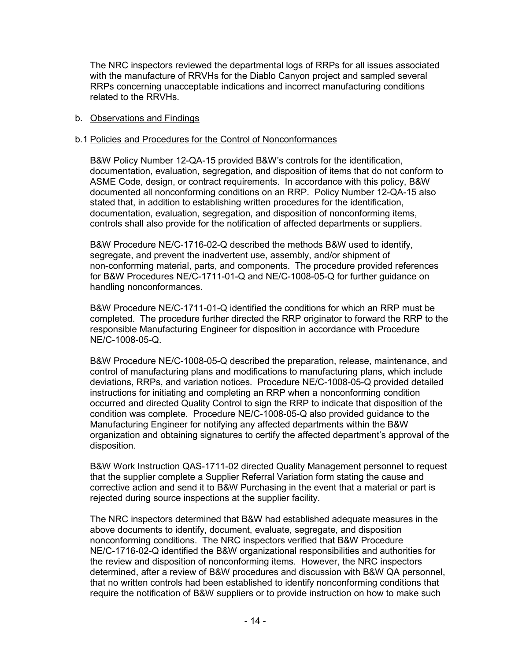The NRC inspectors reviewed the departmental logs of RRPs for all issues associated with the manufacture of RRVHs for the Diablo Canyon project and sampled several RRPs concerning unacceptable indications and incorrect manufacturing conditions related to the RRVHs.

### b. Observations and Findings

### b.1 Policies and Procedures for the Control of Nonconformances

B&W Policy Number 12-QA-15 provided B&W's controls for the identification, documentation, evaluation, segregation, and disposition of items that do not conform to ASME Code, design, or contract requirements. In accordance with this policy, B&W documented all nonconforming conditions on an RRP. Policy Number 12-QA-15 also stated that, in addition to establishing written procedures for the identification, documentation, evaluation, segregation, and disposition of nonconforming items, controls shall also provide for the notification of affected departments or suppliers.

B&W Procedure NE/C-1716-02-Q described the methods B&W used to identify, segregate, and prevent the inadvertent use, assembly, and/or shipment of non-conforming material, parts, and components. The procedure provided references for B&W Procedures NE/C-1711-01-Q and NE/C-1008-05-Q for further guidance on handling nonconformances.

B&W Procedure NE/C-1711-01-Q identified the conditions for which an RRP must be completed. The procedure further directed the RRP originator to forward the RRP to the responsible Manufacturing Engineer for disposition in accordance with Procedure NE/C-1008-05-Q.

B&W Procedure NE/C-1008-05-Q described the preparation, release, maintenance, and control of manufacturing plans and modifications to manufacturing plans, which include deviations, RRPs, and variation notices. Procedure NE/C-1008-05-Q provided detailed instructions for initiating and completing an RRP when a nonconforming condition occurred and directed Quality Control to sign the RRP to indicate that disposition of the condition was complete. Procedure NE/C-1008-05-Q also provided guidance to the Manufacturing Engineer for notifying any affected departments within the B&W organization and obtaining signatures to certify the affected department's approval of the disposition.

 B&W Work Instruction QAS-1711-02 directed Quality Management personnel to request that the supplier complete a Supplier Referral Variation form stating the cause and corrective action and send it to B&W Purchasing in the event that a material or part is rejected during source inspections at the supplier facility.

The NRC inspectors determined that B&W had established adequate measures in the above documents to identify, document, evaluate, segregate, and disposition nonconforming conditions. The NRC inspectors verified that B&W Procedure NE/C-1716-02-Q identified the B&W organizational responsibilities and authorities for the review and disposition of nonconforming items. However, the NRC inspectors determined, after a review of B&W procedures and discussion with B&W QA personnel, that no written controls had been established to identify nonconforming conditions that require the notification of B&W suppliers or to provide instruction on how to make such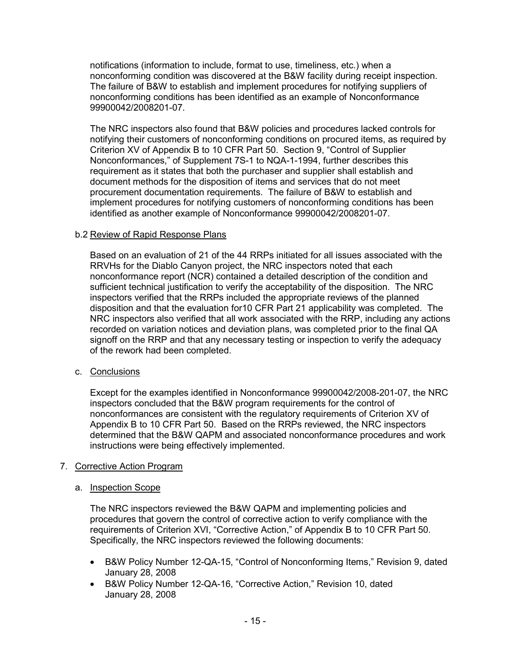notifications (information to include, format to use, timeliness, etc.) when a nonconforming condition was discovered at the B&W facility during receipt inspection. The failure of B&W to establish and implement procedures for notifying suppliers of nonconforming conditions has been identified as an example of Nonconformance 99900042/2008201-07.

The NRC inspectors also found that B&W policies and procedures lacked controls for notifying their customers of nonconforming conditions on procured items, as required by Criterion XV of Appendix B to 10 CFR Part 50. Section 9, "Control of Supplier Nonconformances," of Supplement 7S-1 to NQA-1-1994, further describes this requirement as it states that both the purchaser and supplier shall establish and document methods for the disposition of items and services that do not meet procurement documentation requirements. The failure of B&W to establish and implement procedures for notifying customers of nonconforming conditions has been identified as another example of Nonconformance 99900042/2008201-07.

## b.2 Review of Rapid Response Plans

Based on an evaluation of 21 of the 44 RRPs initiated for all issues associated with the RRVHs for the Diablo Canyon project, the NRC inspectors noted that each nonconformance report (NCR) contained a detailed description of the condition and sufficient technical justification to verify the acceptability of the disposition. The NRC inspectors verified that the RRPs included the appropriate reviews of the planned disposition and that the evaluation for10 CFR Part 21 applicability was completed. The NRC inspectors also verified that all work associated with the RRP, including any actions recorded on variation notices and deviation plans, was completed prior to the final QA signoff on the RRP and that any necessary testing or inspection to verify the adequacy of the rework had been completed.

c. Conclusions

Except for the examples identified in Nonconformance 99900042/2008-201-07, the NRC inspectors concluded that the B&W program requirements for the control of nonconformances are consistent with the regulatory requirements of Criterion XV of Appendix B to 10 CFR Part 50. Based on the RRPs reviewed, the NRC inspectors determined that the B&W QAPM and associated nonconformance procedures and work instructions were being effectively implemented.

## 7. Corrective Action Program

#### a. Inspection Scope

The NRC inspectors reviewed the B&W QAPM and implementing policies and procedures that govern the control of corrective action to verify compliance with the requirements of Criterion XVI, "Corrective Action," of Appendix B to 10 CFR Part 50. Specifically, the NRC inspectors reviewed the following documents:

- B&W Policy Number 12-QA-15, "Control of Nonconforming Items," Revision 9, dated January 28, 2008
- B&W Policy Number 12-QA-16, "Corrective Action," Revision 10, dated January 28, 2008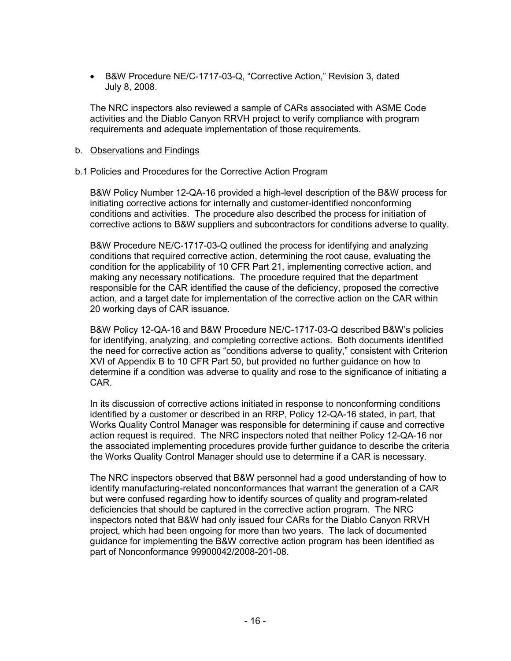• B&W Procedure NE/C-1717-03-Q, "Corrective Action," Revision 3, dated July 8, 2008.

The NRC inspectors also reviewed a sample of CARs associated with ASME Code activities and the Diablo Canyon RRVH project to verify compliance with program requirements and adequate implementation of those requirements.

### b. Observations and Findings

### b.1 Policies and Procedures for the Corrective Action Program

B&W Policy Number 12-QA-16 provided a high-level description of the B&W process for initiating corrective actions for internally and customer-identified nonconforming conditions and activities. The procedure also described the process for initiation of corrective actions to B&W suppliers and subcontractors for conditions adverse to quality.

B&W Procedure NE/C-1717-03-Q outlined the process for identifying and analyzing conditions that required corrective action, determining the root cause, evaluating the condition for the applicability of 10 CFR Part 21, implementing corrective action, and making any necessary notifications. The procedure required that the department responsible for the CAR identified the cause of the deficiency, proposed the corrective action, and a target date for implementation of the corrective action on the CAR within 20 working days of CAR issuance.

B&W Policy 12-QA-16 and B&W Procedure NE/C-1717-03-Q described B&W's policies for identifying, analyzing, and completing corrective actions. Both documents identified the need for corrective action as "conditions adverse to quality," consistent with Criterion XVI of Appendix B to 10 CFR Part 50, but provided no further guidance on how to determine if a condition was adverse to quality and rose to the significance of initiating a CAR.

In its discussion of corrective actions initiated in response to nonconforming conditions identified by a customer or described in an RRP, Policy 12-QA-16 stated, in part, that Works Quality Control Manager was responsible for determining if cause and corrective action request is required. The NRC inspectors noted that neither Policy 12-QA-16 nor the associated implementing procedures provide further guidance to describe the criteria the Works Quality Control Manager should use to determine if a CAR is necessary.

The NRC inspectors observed that B&W personnel had a good understanding of how to identify manufacturing-related nonconformances that warrant the generation of a CAR but were confused regarding how to identify sources of quality and program-related deficiencies that should be captured in the corrective action program. The NRC inspectors noted that B&W had only issued four CARs for the Diablo Canyon RRVH project, which had been ongoing for more than two years. The lack of documented guidance for implementing the B&W corrective action program has been identified as part of Nonconformance 99900042/2008-201-08.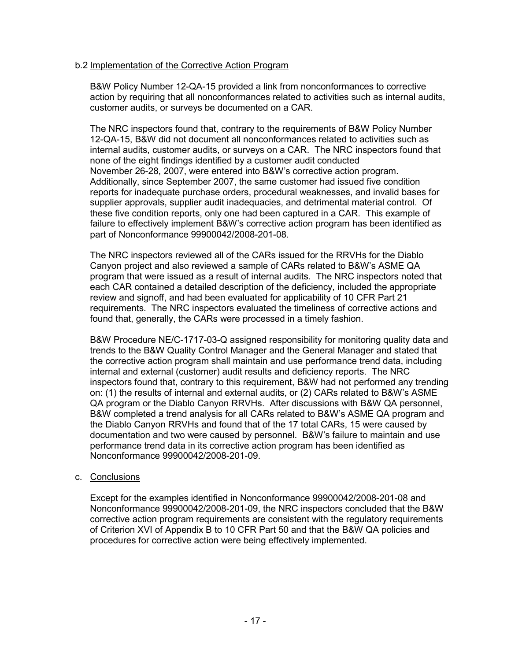## b.2 Implementation of the Corrective Action Program

B&W Policy Number 12-QA-15 provided a link from nonconformances to corrective action by requiring that all nonconformances related to activities such as internal audits, customer audits, or surveys be documented on a CAR.

The NRC inspectors found that, contrary to the requirements of B&W Policy Number 12-QA-15, B&W did not document all nonconformances related to activities such as internal audits, customer audits, or surveys on a CAR. The NRC inspectors found that none of the eight findings identified by a customer audit conducted November 26-28, 2007, were entered into B&W's corrective action program. Additionally, since September 2007, the same customer had issued five condition reports for inadequate purchase orders, procedural weaknesses, and invalid bases for supplier approvals, supplier audit inadequacies, and detrimental material control. Of these five condition reports, only one had been captured in a CAR. This example of failure to effectively implement B&W's corrective action program has been identified as part of Nonconformance 99900042/2008-201-08.

The NRC inspectors reviewed all of the CARs issued for the RRVHs for the Diablo Canyon project and also reviewed a sample of CARs related to B&W's ASME QA program that were issued as a result of internal audits. The NRC inspectors noted that each CAR contained a detailed description of the deficiency, included the appropriate review and signoff, and had been evaluated for applicability of 10 CFR Part 21 requirements. The NRC inspectors evaluated the timeliness of corrective actions and found that, generally, the CARs were processed in a timely fashion.

B&W Procedure NE/C-1717-03-Q assigned responsibility for monitoring quality data and trends to the B&W Quality Control Manager and the General Manager and stated that the corrective action program shall maintain and use performance trend data, including internal and external (customer) audit results and deficiency reports. The NRC inspectors found that, contrary to this requirement, B&W had not performed any trending on: (1) the results of internal and external audits, or (2) CARs related to B&W's ASME QA program or the Diablo Canyon RRVHs. After discussions with B&W QA personnel, B&W completed a trend analysis for all CARs related to B&W's ASME QA program and the Diablo Canyon RRVHs and found that of the 17 total CARs, 15 were caused by documentation and two were caused by personnel. B&W's failure to maintain and use performance trend data in its corrective action program has been identified as Nonconformance 99900042/2008-201-09.

## c. Conclusions

Except for the examples identified in Nonconformance 99900042/2008-201-08 and Nonconformance 99900042/2008-201-09, the NRC inspectors concluded that the B&W corrective action program requirements are consistent with the regulatory requirements of Criterion XVI of Appendix B to 10 CFR Part 50 and that the B&W QA policies and procedures for corrective action were being effectively implemented.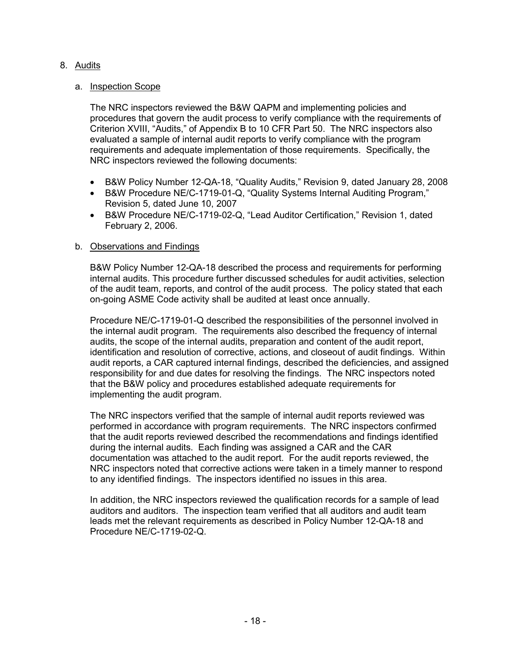# 8. Audits

## a. Inspection Scope

The NRC inspectors reviewed the B&W QAPM and implementing policies and procedures that govern the audit process to verify compliance with the requirements of Criterion XVIII, "Audits," of Appendix B to 10 CFR Part 50. The NRC inspectors also evaluated a sample of internal audit reports to verify compliance with the program requirements and adequate implementation of those requirements. Specifically, the NRC inspectors reviewed the following documents:

- B&W Policy Number 12-QA-18, "Quality Audits," Revision 9, dated January 28, 2008
- B&W Procedure NE/C-1719-01-Q, "Quality Systems Internal Auditing Program," Revision 5, dated June 10, 2007
- B&W Procedure NE/C-1719-02-Q, "Lead Auditor Certification," Revision 1, dated February 2, 2006.

### b. Observations and Findings

B&W Policy Number 12-QA-18 described the process and requirements for performing internal audits. This procedure further discussed schedules for audit activities, selection of the audit team, reports, and control of the audit process. The policy stated that each on-going ASME Code activity shall be audited at least once annually.

Procedure NE/C-1719-01-Q described the responsibilities of the personnel involved in the internal audit program. The requirements also described the frequency of internal audits, the scope of the internal audits, preparation and content of the audit report, identification and resolution of corrective, actions, and closeout of audit findings. Within audit reports, a CAR captured internal findings, described the deficiencies, and assigned responsibility for and due dates for resolving the findings. The NRC inspectors noted that the B&W policy and procedures established adequate requirements for implementing the audit program.

The NRC inspectors verified that the sample of internal audit reports reviewed was performed in accordance with program requirements. The NRC inspectors confirmed that the audit reports reviewed described the recommendations and findings identified during the internal audits. Each finding was assigned a CAR and the CAR documentation was attached to the audit report. For the audit reports reviewed, the NRC inspectors noted that corrective actions were taken in a timely manner to respond to any identified findings. The inspectors identified no issues in this area.

In addition, the NRC inspectors reviewed the qualification records for a sample of lead auditors and auditors. The inspection team verified that all auditors and audit team leads met the relevant requirements as described in Policy Number 12-QA-18 and Procedure NE/C-1719-02-Q.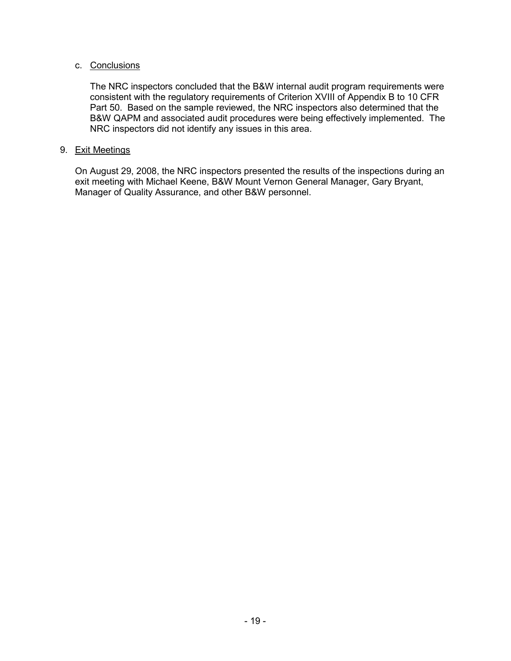## c. Conclusions

The NRC inspectors concluded that the B&W internal audit program requirements were consistent with the regulatory requirements of Criterion XVIII of Appendix B to 10 CFR Part 50. Based on the sample reviewed, the NRC inspectors also determined that the B&W QAPM and associated audit procedures were being effectively implemented. The NRC inspectors did not identify any issues in this area.

## 9. Exit Meetings

On August 29, 2008, the NRC inspectors presented the results of the inspections during an exit meeting with Michael Keene, B&W Mount Vernon General Manager, Gary Bryant, Manager of Quality Assurance, and other B&W personnel.